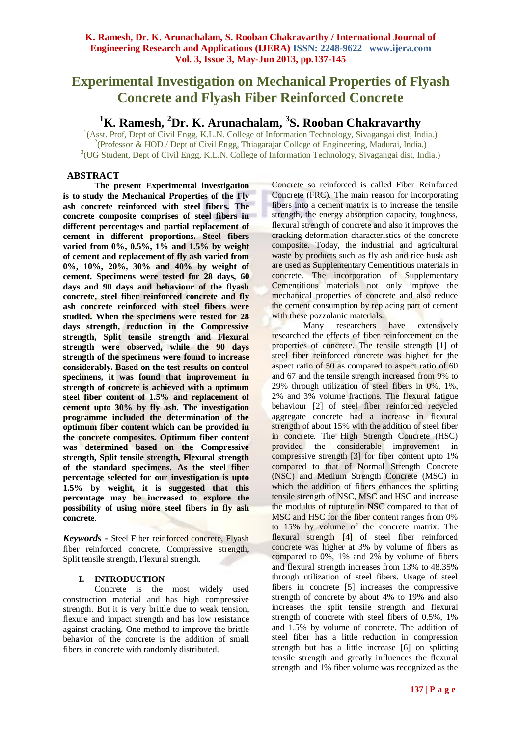# **Experimental Investigation on Mechanical Properties of Flyash Concrete and Flyash Fiber Reinforced Concrete**

# **<sup>1</sup>K. Ramesh, <sup>2</sup>Dr. K. Arunachalam, 3 S. Rooban Chakravarthy**

<sup>1</sup>(Asst. Prof, Dept of Civil Engg, K.L.N. College of Information Technology, Sivagangai dist, India.) <sup>2</sup>(Professor & HOD / Dept of Civil Engg, Thiagarajar College of Engineering, Madurai, India.) 3 (UG Student*,* Dept of Civil Engg, K.L.N. College of Information Technology, Sivagangai dist, India.)

# **ABSTRACT**

**The present Experimental investigation is to study the Mechanical Properties of the Fly ash concrete reinforced with steel fibers. The concrete composite comprises of steel fibers in different percentages and partial replacement of cement in different proportions. Steel fibers varied from 0%, 0.5%, 1% and 1.5% by weight of cement and replacement of fly ash varied from 0%, 10%, 20%, 30% and 40% by weight of cement. Specimens were tested for 28 days, 60 days and 90 days and behaviour of the flyash concrete, steel fiber reinforced concrete and fly ash concrete reinforced with steel fibers were studied. When the specimens were tested for 28 days strength, reduction in the Compressive strength, Split tensile strength and Flexural strength were observed, while the 90 days strength of the specimens were found to increase considerably. Based on the test results on control specimens, it was found that improvement in strength of concrete is achieved with a optimum steel fiber content of 1.5% and replacement of cement upto 30% by fly ash. The investigation programme included the determination of the optimum fiber content which can be provided in the concrete composites. Optimum fiber content was determined based on the Compressive strength, Split tensile strength, Flexural strength of the standard specimens. As the steel fiber percentage selected for our investigation is upto 1.5% by weight, it is suggested that this percentage may be increased to explore the possibility of using more steel fibers in fly ash concrete**.

*Keywords* **-** Steel Fiber reinforced concrete, Flyash fiber reinforced concrete, Compressive strength, Split tensile strength, Flexural strength.

# **I. INTRODUCTION**

Concrete is the most widely used construction material and has high compressive strength. But it is very brittle due to weak tension, flexure and impact strength and has low resistance against cracking. One method to improve the brittle behavior of the concrete is the addition of small fibers in concrete with randomly distributed.

Concrete so reinforced is called Fiber Reinforced Concrete (FRC). The main reason for incorporating fibers into a cement matrix is to increase the tensile strength, the energy absorption capacity, toughness, flexural strength of concrete and also it improves the cracking deformation characteristics of the concrete composite. Today, the industrial and agricultural waste by products such as fly ash and rice husk ash are used as Supplementary Cementitious materials in concrete. The incorporation of Supplementary Cementitious materials not only improve the mechanical properties of concrete and also reduce the cement consumption by replacing part of cement with these pozzolanic materials.

Many researchers have extensively researched the effects of fiber reinforcement on the properties of concrete. The tensile strength [1] of steel fiber reinforced concrete was higher for the aspect ratio of 50 as compared to aspect ratio of 60 and 67 and the tensile strength increased from 9% to 29% through utilization of steel fibers in 0%, 1%, 2% and 3% volume fractions. The flexural fatigue behaviour [2] of steel fiber reinforced recycled aggregate concrete had a increase in flexural strength of about 15% with the addition of steel fiber in concrete. The High Strength Concrete (HSC) provided the considerable improvement in compressive strength [3] for fiber content upto 1% compared to that of Normal Strength Concrete (NSC) and Medium Strength Concrete (MSC) in which the addition of fibers enhances the splitting tensile strength of NSC, MSC and HSC and increase the modulus of rupture in NSC compared to that of MSC and HSC for the fiber content ranges from 0% to 15% by volume of the concrete matrix. The flexural strength [4] of steel fiber reinforced concrete was higher at 3% by volume of fibers as compared to 0%, 1% and 2% by volume of fibers and flexural strength increases from 13% to 48.35% through utilization of steel fibers. Usage of steel fibers in concrete [5] increases the compressive strength of concrete by about 4% to 19% and also increases the split tensile strength and flexural strength of concrete with steel fibers of 0.5%, 1% and 1.5% by volume of concrete. The addition of steel fiber has a little reduction in compression strength but has a little increase [6] on splitting tensile strength and greatly influences the flexural strength and 1% fiber volume was recognized as the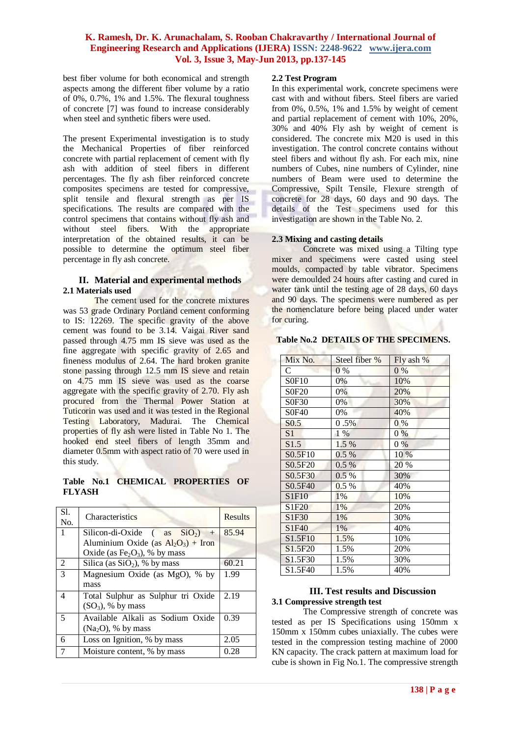best fiber volume for both economical and strength aspects among the different fiber volume by a ratio of 0%, 0.7%, 1% and 1.5%. The flexural toughness of concrete [7] was found to increase considerably when steel and synthetic fibers were used.

The present Experimental investigation is to study the Mechanical Properties of fiber reinforced concrete with partial replacement of cement with fly ash with addition of steel fibers in different percentages. The fly ash fiber reinforced concrete composites specimens are tested for compressive, split tensile and flexural strength as per IS specifications. The results are compared with the control specimens that contains without fly ash and without steel fibers. With the appropriate interpretation of the obtained results, it can be possible to determine the optimum steel fiber percentage in fly ash concrete.

## **II. Material and experimental methods 2.1 Materials used**

The cement used for the concrete mixtures was 53 grade Ordinary Portland cement conforming to IS: 12269. The specific gravity of the above cement was found to be 3.14. Vaigai River sand passed through 4.75 mm IS sieve was used as the fine aggregate with specific gravity of 2.65 and fineness modulus of 2.64. The hard broken granite stone passing through 12.5 mm IS sieve and retain on 4.75 mm IS sieve was used as the coarse aggregate with the specific gravity of 2.70. Fly ash procured from the Thermal Power Station at Tuticorin was used and it was tested in the Regional Testing Laboratory, Madurai. The Chemical properties of fly ash were listed in Table No 1. The hooked end steel fibers of length 35mm and diameter 0.5mm with aspect ratio of 70 were used in this study.

# **Table No.1 CHEMICAL PROPERTIES OF FLYASH**

| Sl.<br>No. | <b>Characteristics</b>                                | <b>Results</b> |
|------------|-------------------------------------------------------|----------------|
| 1          | Silicon-di-Oxide (as $SiO2$ )<br>$+$                  | 85.94          |
|            | Aluminium Oxide (as $Al_2O_3$ ) + Iron                |                |
|            | Oxide (as Fe <sub>2</sub> O <sub>3</sub> ), % by mass |                |
| 2          | Silica (as $SiO2$ ), % by mass                        | 60.21          |
| 3          | Magnesium Oxide (as MgO), % by                        | 1.99           |
|            | mass                                                  |                |
| 4          | Total Sulphur as Sulphur tri Oxide                    | 2.19           |
|            | $(SO_3)$ , % by mass                                  |                |
| 5          | Available Alkali as Sodium Oxide                      | 0.39           |
|            | $(Na2O)$ , % by mass                                  |                |
| 6          | Loss on Ignition, % by mass                           | 2.05           |
|            | Moisture content, % by mass                           | 0.28           |

## **2.2 Test Program**

In this experimental work, concrete specimens were cast with and without fibers. Steel fibers are varied from 0%, 0.5%, 1% and 1.5% by weight of cement and partial replacement of cement with 10%, 20%, 30% and 40% Fly ash by weight of cement is considered. The concrete mix M20 is used in this investigation. The control concrete contains without steel fibers and without fly ash. For each mix, nine numbers of Cubes, nine numbers of Cylinder, nine numbers of Beam were used to determine the Compressive, Spilt Tensile, Flexure strength of concrete for 28 days, 60 days and 90 days. The details of the Test specimens used for this investigation are shown in the Table No. 2.

## **2.3 Mixing and casting details**

30 L

Concrete was mixed using a Tilting type mixer and specimens were casted using steel moulds, compacted by table vibrator. Specimens were demoulded 24 hours after casting and cured in water tank until the testing age of 28 days, 60 days and 90 days. The specimens were numbered as per the nomenclature before being placed under water for curing.

## **Table No.2 DETAILS OF THE SPECIMENS.**

| Mix No.                        | Steel fiber % | Fly ash % |
|--------------------------------|---------------|-----------|
| $\mathsf{C}$                   | $0\%$         | $0\%$     |
| S0F10                          | 0%            | 10%       |
| S0F20                          | 0%            | 20%       |
| S0F30                          | 0%            | 30%       |
| S0F40                          | 0%            | 40%       |
| S <sub>0.5</sub>               | 0.5%          | $0\%$     |
| S <sub>1</sub>                 | 1 %           | $0\%$     |
| S1.5                           | 1.5 %         | $0\%$     |
| S0.5F10                        | $0.5\%$       | 10 %      |
| S0.5F20                        | 0.5%          | 20 %      |
| S <sub>0.5F30</sub>            | 0.5%          | 30%       |
| S0.5F40                        | 0.5%          | 40%       |
| S1F10                          | 1%            | 10%       |
| S <sub>1</sub> F <sub>20</sub> | 1%            | 20%       |
| S1F30                          | 1%            | 30%       |
| S1F40                          | 1%            | 40%       |
| S1.5F10                        | 1.5%          | 10%       |
| S <sub>1.5F20</sub>            | 1.5%          | 20%       |
| S1.5F30                        | 1.5%          | 30%       |
| S <sub>1.5F40</sub>            | 1.5%          | 40%       |

## **III. Test results and Discussion 3.1 Compressive strength test**

The Compressive strength of concrete was tested as per IS Specifications using 150mm x 150mm x 150mm cubes uniaxially. The cubes were tested in the compression testing machine of 2000 KN capacity. The crack pattern at maximum load for cube is shown in Fig No.1. The compressive strength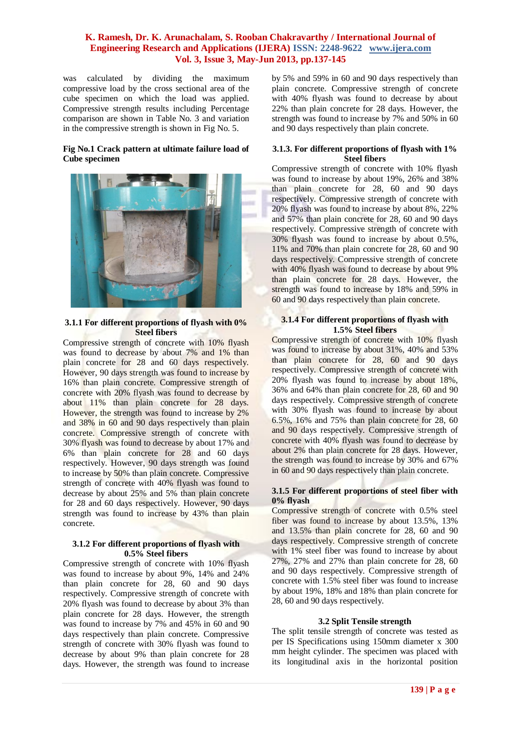was calculated by dividing the maximum compressive load by the cross sectional area of the cube specimen on which the load was applied. Compressive strength results including Percentage comparison are shown in Table No. 3 and variation in the compressive strength is shown in Fig No. 5.

## **Fig No.1 Crack pattern at ultimate failure load of Cube specimen**



#### **3.1.1 For different proportions of flyash with 0% Steel fibers**

Compressive strength of concrete with 10% flyash was found to decrease by about 7% and 1% than plain concrete for 28 and 60 days respectively. However, 90 days strength was found to increase by 16% than plain concrete. Compressive strength of concrete with 20% flyash was found to decrease by about 11% than plain concrete for 28 days. However, the strength was found to increase by 2% and 38% in 60 and 90 days respectively than plain concrete. Compressive strength of concrete with 30% flyash was found to decrease by about 17% and 6% than plain concrete for 28 and 60 days respectively. However, 90 days strength was found to increase by 50% than plain concrete. Compressive strength of concrete with 40% flyash was found to decrease by about 25% and 5% than plain concrete for 28 and 60 days respectively. However, 90 days strength was found to increase by 43% than plain concrete.

## **3.1.2 For different proportions of flyash with 0.5% Steel fibers**

Compressive strength of concrete with 10% flyash was found to increase by about 9%, 14% and 24% than plain concrete for 28, 60 and 90 days respectively. Compressive strength of concrete with 20% flyash was found to decrease by about 3% than plain concrete for 28 days. However, the strength was found to increase by 7% and 45% in 60 and 90 days respectively than plain concrete. Compressive strength of concrete with 30% flyash was found to decrease by about 9% than plain concrete for 28 days. However, the strength was found to increase by 5% and 59% in 60 and 90 days respectively than plain concrete. Compressive strength of concrete with 40% flyash was found to decrease by about 22% than plain concrete for 28 days. However, the strength was found to increase by 7% and 50% in 60 and 90 days respectively than plain concrete.

### **3.1.3. For different proportions of flyash with 1% Steel fibers**

Compressive strength of concrete with 10% flyash was found to increase by about 19%, 26% and 38% than plain concrete for 28, 60 and 90 days respectively. Compressive strength of concrete with 20% flyash was found to increase by about 8%, 22% and 57% than plain concrete for 28, 60 and 90 days respectively. Compressive strength of concrete with 30% flyash was found to increase by about 0.5%, 11% and 70% than plain concrete for 28, 60 and 90 days respectively. Compressive strength of concrete with 40% flyash was found to decrease by about 9% than plain concrete for 28 days. However, the strength was found to increase by 18% and 59% in 60 and 90 days respectively than plain concrete.

## **3.1.4 For different proportions of flyash with 1.5% Steel fibers**

Compressive strength of concrete with 10% flyash was found to increase by about 31%, 40% and 53% than plain concrete for 28, 60 and 90 days respectively. Compressive strength of concrete with 20% flyash was found to increase by about 18%, 36% and 64% than plain concrete for 28, 60 and 90 days respectively. Compressive strength of concrete with 30% flyash was found to increase by about 6.5%, 16% and 75% than plain concrete for 28, 60 and 90 days respectively. Compressive strength of concrete with 40% flyash was found to decrease by about 2% than plain concrete for 28 days. However, the strength was found to increase by 30% and 67% in 60 and 90 days respectively than plain concrete.

## **3.1.5 For different proportions of steel fiber with 0% flyash**

Compressive strength of concrete with 0.5% steel fiber was found to increase by about 13.5%, 13% and 13.5% than plain concrete for 28, 60 and 90 days respectively. Compressive strength of concrete with 1% steel fiber was found to increase by about 27%, 27% and 27% than plain concrete for 28, 60 and 90 days respectively. Compressive strength of concrete with 1.5% steel fiber was found to increase by about 19%, 18% and 18% than plain concrete for 28, 60 and 90 days respectively.

## **3.2 Split Tensile strength**

The split tensile strength of concrete was tested as per IS Specifications using 150mm diameter x 300 mm height cylinder. The specimen was placed with its longitudinal axis in the horizontal position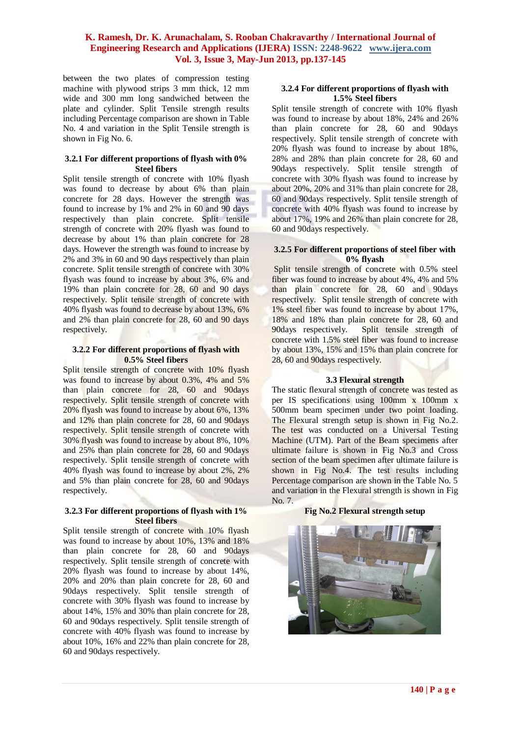between the two plates of compression testing machine with plywood strips 3 mm thick, 12 mm wide and 300 mm long sandwiched between the plate and cylinder. Split Tensile strength results including Percentage comparison are shown in Table No. 4 and variation in the Split Tensile strength is shown in Fig No. 6.

#### **3.2.1 For different proportions of flyash with 0% Steel fibers**

Split tensile strength of concrete with 10% flyash was found to decrease by about 6% than plain concrete for 28 days. However the strength was found to increase by 1% and 2% in 60 and 90 days respectively than plain concrete. Split tensile strength of concrete with 20% flyash was found to decrease by about 1% than plain concrete for 28 days. However the strength was found to increase by 2% and 3% in 60 and 90 days respectively than plain concrete. Split tensile strength of concrete with 30% flyash was found to increase by about 3%, 6% and 19% than plain concrete for 28, 60 and 90 days respectively. Split tensile strength of concrete with 40% flyash was found to decrease by about 13%, 6% and 2% than plain concrete for 28, 60 and 90 days respectively.

### **3.2.2 For different proportions of flyash with 0.5% Steel fibers**

Split tensile strength of concrete with 10% flyash was found to increase by about 0.3%, 4% and 5% than plain concrete for 28, 60 and 90days respectively. Split tensile strength of concrete with 20% flyash was found to increase by about 6%, 13% and 12% than plain concrete for 28, 60 and 90days respectively. Split tensile strength of concrete with 30% flyash was found to increase by about 8%, 10% and 25% than plain concrete for 28, 60 and 90days respectively. Split tensile strength of concrete with 40% flyash was found to increase by about 2%, 2% and 5% than plain concrete for 28, 60 and 90days respectively.

## **3.2.3 For different proportions of flyash with 1% Steel fibers**

Split tensile strength of concrete with 10% flyash was found to increase by about 10%, 13% and 18% than plain concrete for 28, 60 and 90days respectively. Split tensile strength of concrete with 20% flyash was found to increase by about 14%, 20% and 20% than plain concrete for 28, 60 and 90days respectively. Split tensile strength of concrete with 30% flyash was found to increase by about 14%, 15% and 30% than plain concrete for 28, 60 and 90days respectively. Split tensile strength of concrete with 40% flyash was found to increase by about 10%, 16% and 22% than plain concrete for 28, 60 and 90days respectively.

#### **3.2.4 For different proportions of flyash with 1.5% Steel fibers**

Split tensile strength of concrete with 10% flyash was found to increase by about 18%, 24% and 26% than plain concrete for 28, 60 and 90days respectively. Split tensile strength of concrete with 20% flyash was found to increase by about 18%, 28% and 28% than plain concrete for 28, 60 and 90days respectively. Split tensile strength of concrete with 30% flyash was found to increase by about 20%, 20% and 31% than plain concrete for 28, 60 and 90days respectively. Split tensile strength of concrete with 40% flyash was found to increase by about 17%, 19% and 26% than plain concrete for 28, 60 and 90days respectively.

## **3.2.5 For different proportions of steel fiber with 0% flyash**

Split tensile strength of concrete with 0.5% steel fiber was found to increase by about 4%, 4% and 5% than plain concrete for 28, 60 and 90days respectively. Split tensile strength of concrete with 1% steel fiber was found to increase by about 17%, 18% and 18% than plain concrete for 28, 60 and 90days respectively. Split tensile strength of concrete with 1.5% steel fiber was found to increase by about 13%, 15% and 15% than plain concrete for 28, 60 and 90 days respectively.

# **3.3 Flexural strength**

The static flexural strength of concrete was tested as per IS specifications using 100mm x 100mm x 500mm beam specimen under two point loading. The Flexural strength setup is shown in Fig No.2. The test was conducted on a Universal Testing Machine (UTM). Part of the Beam specimens after ultimate failure is shown in Fig No.3 and Cross section of the beam specimen after ultimate failure is shown in Fig No.4. The test results including Percentage comparison are shown in the Table No. 5 and variation in the Flexural strength is shown in Fig No. 7.

## **Fig No.2 Flexural strength setup**

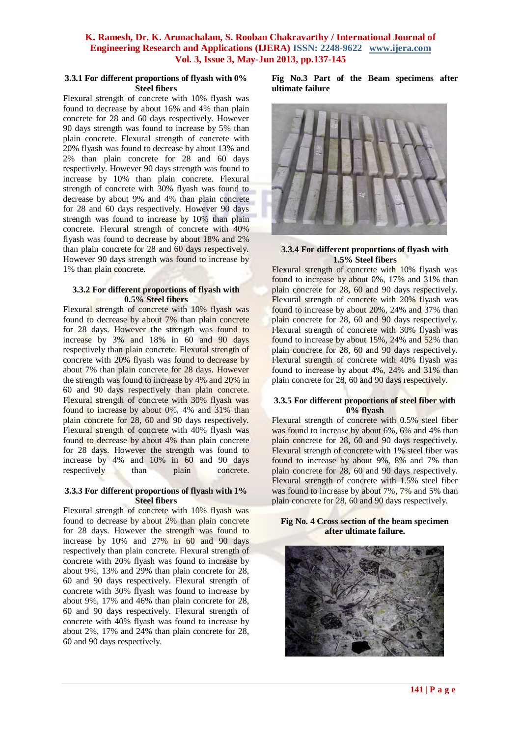### **3.3.1 For different proportions of flyash with 0% Steel fibers**

Flexural strength of concrete with 10% flyash was found to decrease by about 16% and 4% than plain concrete for 28 and 60 days respectively. However 90 days strength was found to increase by 5% than plain concrete. Flexural strength of concrete with 20% flyash was found to decrease by about 13% and 2% than plain concrete for 28 and 60 days respectively. However 90 days strength was found to increase by 10% than plain concrete. Flexural strength of concrete with 30% flyash was found to decrease by about 9% and 4% than plain concrete for 28 and 60 days respectively. However 90 days strength was found to increase by 10% than plain concrete. Flexural strength of concrete with 40% flyash was found to decrease by about 18% and 2% than plain concrete for 28 and 60 days respectively. However 90 days strength was found to increase by 1% than plain concrete.

## **3.3.2 For different proportions of flyash with 0.5% Steel fibers**

Flexural strength of concrete with 10% flyash was found to decrease by about 7% than plain concrete for 28 days. However the strength was found to increase by 3% and 18% in 60 and 90 days respectively than plain concrete. Flexural strength of concrete with 20% flyash was found to decrease by about 7% than plain concrete for 28 days. However the strength was found to increase by 4% and 20% in 60 and 90 days respectively than plain concrete. Flexural strength of concrete with 30% flyash was found to increase by about 0%, 4% and 31% than plain concrete for 28, 60 and 90 days respectively. Flexural strength of concrete with 40% flyash was found to decrease by about 4% than plain concrete for 28 days. However the strength was found to increase by 4% and 10% in 60 and 90 days respectively than plain concrete.

## **3.3.3 For different proportions of flyash with 1% Steel fibers**

Flexural strength of concrete with 10% flyash was found to decrease by about 2% than plain concrete for 28 days. However the strength was found to increase by 10% and 27% in 60 and 90 days respectively than plain concrete. Flexural strength of concrete with 20% flyash was found to increase by about 9%, 13% and 29% than plain concrete for 28, 60 and 90 days respectively. Flexural strength of concrete with 30% flyash was found to increase by about 9%, 17% and 46% than plain concrete for 28, 60 and 90 days respectively. Flexural strength of concrete with 40% flyash was found to increase by about 2%, 17% and 24% than plain concrete for 28, 60 and 90 days respectively.

**Fig No.3 Part of the Beam specimens after ultimate failure** 



### **3.3.4 For different proportions of flyash with 1.5% Steel fibers**

Flexural strength of concrete with 10% flyash was found to increase by about 0%, 17% and 31% than plain concrete for 28, 60 and 90 days respectively. Flexural strength of concrete with 20% flyash was found to increase by about 20%, 24% and 37% than plain concrete for 28, 60 and 90 days respectively. Flexural strength of concrete with 30% flyash was found to increase by about 15%, 24% and 52% than plain concrete for 28, 60 and 90 days respectively. Flexural strength of concrete with 40% flyash was found to increase by about 4%, 24% and 31% than plain concrete for 28, 60 and 90 days respectively.

#### **3.3.5 For different proportions of steel fiber with 0% flyash**

Flexural strength of concrete with 0.5% steel fiber was found to increase by about 6%, 6% and 4% than plain concrete for 28, 60 and 90 days respectively. Flexural strength of concrete with 1% steel fiber was found to increase by about 9%, 8% and 7% than plain concrete for 28, 60 and 90 days respectively. Flexural strength of concrete with 1.5% steel fiber was found to increase by about 7%, 7% and 5% than plain concrete for 28, 60 and 90 days respectively.

### **Fig No. 4 Cross section of the beam specimen after ultimate failure.**

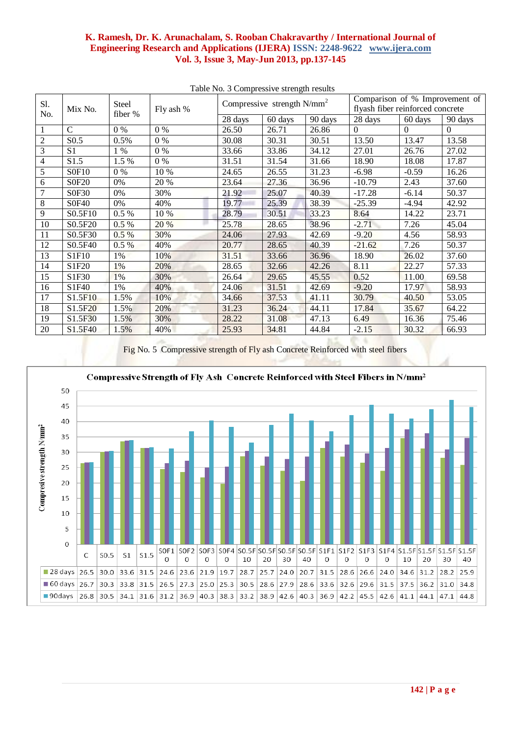| Sl.                     | Mix No.             | Steel<br>fiber % | Fly ash % | Compressive strength $N/mm^2$ |         |         | Comparison of % Improvement of<br>flyash fiber reinforced concrete |          |          |
|-------------------------|---------------------|------------------|-----------|-------------------------------|---------|---------|--------------------------------------------------------------------|----------|----------|
| No.                     |                     |                  |           | 28 days                       | 60 days | 90 days | 28 days                                                            | 60 days  | 90 days  |
|                         | $\mathcal{C}$       | $0\%$            | $0\%$     | 26.50                         | 26.71   | 26.86   | $\Omega$                                                           | $\Omega$ | $\Omega$ |
| $\overline{2}$          | S <sub>0.5</sub>    | 0.5%             | $0\%$     | 30.08                         | 30.31   | 30.51   | 13.50                                                              | 13.47    | 13.58    |
| 3                       | S <sub>1</sub>      | $1\%$            | $0\%$     | 33.66                         | 33.86   | 34.12   | 27.01                                                              | 26.76    | 27.02    |
| $\overline{\mathbf{4}}$ | S1.5                | 1.5 %            | $0\%$     | 31.51                         | 31.54   | 31.66   | 18.90                                                              | 18.08    | 17.87    |
| 5                       | <b>SOF10</b>        | $0\%$            | 10 %      | 24.65                         | 26.55   | 31.23   | $-6.98$                                                            | $-0.59$  | 16.26    |
| 6                       | <b>SOF20</b>        | 0%               | 20 %      | 23.64                         | 27.36   | 36.96   | $-10.79$                                                           | 2.43     | 37.60    |
| 7                       | S0F30               | 0%               | 30%       | 21.92                         | 25.07   | 40.39   | $-17.28$                                                           | $-6.14$  | 50.37    |
| 8                       | <b>S0F40</b>        | 0%               | 40%       | 19.77                         | 25.39   | 38.39   | $-25.39$                                                           | $-4.94$  | 42.92    |
| 9                       | S0.5F10             | 0.5%             | 10 %      | 28.79                         | 30.51   | 33.23   | 8.64                                                               | 14.22    | 23.71    |
| 10                      | S0.5F20             | 0.5%             | 20 %      | 25.78                         | 28.65   | 38.96   | $-2.71$                                                            | 7.26     | 45.04    |
| 11                      | S0.5F30             | $0.5\%$          | 30%       | 24.06                         | 27.93   | 42.69   | $-9.20$                                                            | 4.56     | 58.93    |
| 12                      | S0.5F40             | 0.5%             | 40%       | 20.77                         | 28.65   | 40.39   | $-21.62$                                                           | 7.26     | 50.37    |
| 13                      | S1F10               | 1%               | 10%       | 31.51                         | 33.66   | 36.96   | 18.90                                                              | 26.02    | 37.60    |
| 14                      | S1F20               | 1%               | 20%       | 28.65                         | 32.66   | 42.26   | 8.11                                                               | 22.27    | 57.33    |
| 15                      | S1F30               | 1%               | 30%       | 26.64                         | 29.65   | 45.55   | 0.52                                                               | 11.00    | 69.58    |
| 16                      | S1F40               | 1%               | 40%       | 24.06                         | 31.51   | 42.69   | $-9.20$                                                            | 17.97    | 58.93    |
| 17                      | S1.5F10             | 1.5%             | 10%       | 34.66                         | 37.53   | 41.11   | 30.79                                                              | 40.50    | 53.05    |
| 18                      | S1.5F20             | 1.5%             | 20%       | 31.23                         | 36.24   | 44.11   | 17.84                                                              | 35.67    | 64.22    |
| 19                      | S <sub>1.5F30</sub> | 1.5%             | 30%       | 28.22                         | 31.08   | 47.13   | 6.49                                                               | 16.36    | 75.46    |
| 20                      | S <sub>1.5F40</sub> | 1.5%             | 40%       | 25.93                         | 34.81   | 44.84   | $-2.15$                                                            | 30.32    | 66.93    |
|                         |                     |                  |           |                               |         |         |                                                                    |          |          |

Table No. 3 Compressive strength results

Fig No. 5 Compressive strength of Fly ash Concrete Reinforced with steel fibers

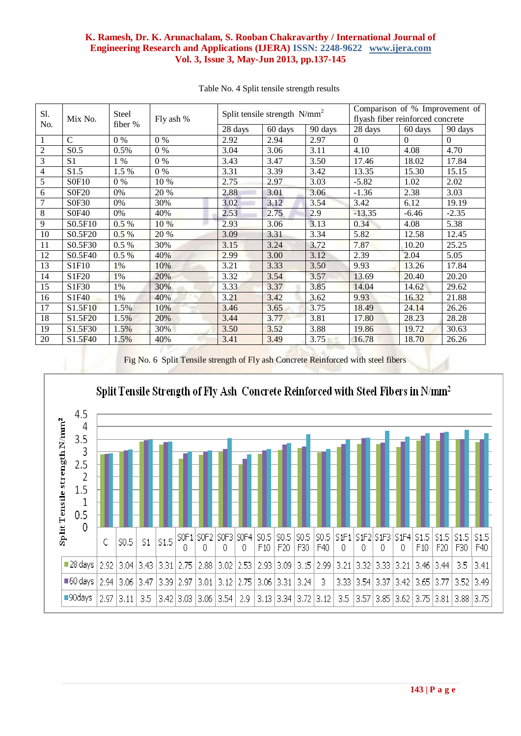| Sl.<br>No.      | Mix No.          | Steel<br>fiber % | Fly ash % | Split tensile strength $N/mm^2$ |         |         | Comparison of % Improvement of<br>flyash fiber reinforced concrete |          |          |
|-----------------|------------------|------------------|-----------|---------------------------------|---------|---------|--------------------------------------------------------------------|----------|----------|
|                 |                  |                  |           | 28 days                         | 60 days | 90 days | 28 days                                                            | 60 days  | 90 days  |
| 1               | $\mathcal{C}$    | $0\%$            | $0\%$     | 2.92                            | 2.94    | 2.97    | $\Omega$                                                           | $\Omega$ | $\Omega$ |
| $\overline{2}$  | S <sub>0.5</sub> | 0.5%             | $0\%$     | 3.04                            | 3.06    | 3.11    | 4.10                                                               | 4.08     | 4.70     |
| 3               | S <sub>1</sub>   | 1 %              | $0\%$     | 3.43                            | 3.47    | 3.50    | 17.46                                                              | 18.02    | 17.84    |
| $\overline{4}$  | S1.5             | 1.5 %            | $0\%$     | 3.31                            | 3.39    | 3.42    | 13.35                                                              | 15.30    | 15.15    |
| 5               | S0F10            | $0\%$            | 10 %      | 2.75                            | 2.97    | 3.03    | $-5.82$                                                            | 1.02     | 2.02     |
| 6               | <b>SOF20</b>     | 0%               | 20 %      | 2.88                            | 3.01    | 3.06    | $-1.36$                                                            | 2.38     | 3.03     |
| $7\phantom{.0}$ | S0F30            | 0%               | 30%       | 3.02                            | 3.12    | 3.54    | 3.42                                                               | 6.12     | 19.19    |
| $\,8\,$         | <b>S0F40</b>     | 0%               | 40%       | 2.53                            | 2.75    | 2.9     | $-13.35$                                                           | $-6.46$  | $-2.35$  |
| 9               | S0.5F10          | $0.5\%$          | 10 %      | 2.93                            | 3.06    | 3.13    | 0.34                                                               | 4.08     | 5.38     |
| 10              | S0.5F20          | $0.5\%$          | 20 %      | 3.09                            | 3.31    | 3.34    | 5.82                                                               | 12.58    | 12.45    |
| 11              | S0.5F30          | 0.5%             | 30%       | 3.15                            | 3.24    | 3.72    | 7.87                                                               | 10.20    | 25.25    |
| 12              | S0.5F40          | $0.5\%$          | 40%       | 2.99                            | 3.00    | 3.12    | 2.39                                                               | 2.04     | 5.05     |
| 13              | S1F10            | 1%               | 10%       | 3.21                            | 3.33    | 3.50    | 9.93                                                               | 13.26    | 17.84    |
| 14              | S1F20            | 1%               | 20%       | 3.32                            | 3.54    | 3.57    | 13.69                                                              | 20.40    | 20.20    |
| 15              | S1F30            | 1%               | 30%       | 3.33                            | 3.37    | 3.85    | 14.04                                                              | 14.62    | 29.62    |
| 16              | S1F40            | 1%               | 40%       | 3.21                            | 3.42    | 3.62    | 9.93                                                               | 16.32    | 21.88    |
| 17              | S1.5F10          | 1.5%             | 10%       | 3.46                            | 3.65    | 3.75    | 18.49                                                              | 24.14    | 26.26    |
| 18              | S1.5F20          | 1.5%             | 20%       | 3.44                            | 3.77    | 3.81    | 17.80                                                              | 28.23    | 28.28    |
| 19              | S1.5F30          | 1.5%             | 30%       | 3.50                            | 3.52    | 3.88    | 19.86                                                              | 19.72    | 30.63    |
| 20              | S1.5F40          | 1.5%             | 40%       | 3.41                            | 3.49    | 3.75    | 16.78                                                              | 18.70    | 26.26    |

#### Table No. 4 Split tensile strength results

Fig No. 6 Split Tensile strength of Fly ash Concrete Reinforced with steel fibers



# Split Tensile Strength of Fly Ash Concrete Reinforced with Steel Fibers in N/mm<sup>2</sup>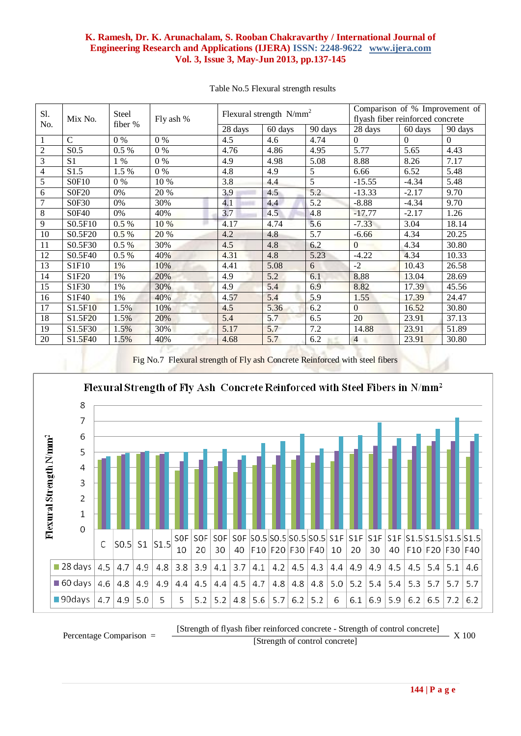| Sl.<br>No.     | Mix No.             | Steel<br>fiber % | Fly ash % | Flexural strength $N/mm^2$ |         |         | Comparison of % Improvement of<br>flyash fiber reinforced concrete |          |          |
|----------------|---------------------|------------------|-----------|----------------------------|---------|---------|--------------------------------------------------------------------|----------|----------|
|                |                     |                  |           | 28 days                    | 60 days | 90 days | 28 days                                                            | 60 days  | 90 days  |
| $\mathbf{1}$   | $\mathsf{C}$        | $0\%$            | $0\%$     | 4.5                        | 4.6     | 4.74    | $\Omega$                                                           | $\Omega$ | $\Omega$ |
| $\overline{2}$ | S <sub>0.5</sub>    | 0.5%             | $0\%$     | 4.76                       | 4.86    | 4.95    | 5.77                                                               | 5.65     | 4.43     |
| $\overline{3}$ | S <sub>1</sub>      | 1 %              | $0\%$     | 4.9                        | 4.98    | 5.08    | 8.88                                                               | 8.26     | 7.17     |
| $\overline{4}$ | S1.5                | 1.5 %            | $0\%$     | 4.8                        | 4.9     | 5       | 6.66                                                               | 6.52     | 5.48     |
| $\overline{5}$ | S0F10               | $0\%$            | 10 %      | 3.8                        | 4.4     | 5       | $-15.55$                                                           | $-4.34$  | 5.48     |
| 6              | S0F20               | 0%               | 20 %      | 3.9                        | 4.5     | 5.2     | $-13.33$                                                           | $-2.17$  | 9.70     |
| 7              | S0F30               | 0%               | 30%       | 4.1                        | 4.4     | 5.2     | $-8.88$                                                            | $-4.34$  | 9.70     |
| $8\,$          | <b>S0F40</b>        | 0%               | 40%       | 3.7                        | 4.5     | 4.8     | $-17.77$                                                           | $-2.17$  | 1.26     |
| 9              | S0.5F10             | 0.5%             | 10 %      | 4.17                       | 4.74    | 5.6     | $-7.33$                                                            | 3.04     | 18.14    |
| 10             | S0.5F20             | $0.5\%$          | 20 %      | 4.2                        | 4.8     | 5.7     | $-6.66$                                                            | 4.34     | 20.25    |
| 11             | S0.5F30             | 0.5%             | 30%       | 4.5                        | 4.8     | 6.2     | $\Omega$                                                           | 4.34     | 30.80    |
| 12             | S0.5F40             | $0.5\%$          | 40%       | 4.31                       | 4.8     | 5.23    | $-4.22$                                                            | 4.34     | 10.33    |
| 13             | S1F10               | 1%               | 10%       | 4.41                       | 5.08    | 6       | $-2$                                                               | 10.43    | 26.58    |
| 14             | S1F20               | 1%               | 20%       | 4.9                        | 5.2     | 6.1     | 8.88                                                               | 13.04    | 28.69    |
| 15             | S1F30               | 1%               | 30%       | 4.9                        | 5.4     | 6.9     | 8.82                                                               | 17.39    | 45.56    |
| 16             | S1F40               | 1%               | 40%       | 4.57                       | 5.4     | 5.9     | 1.55                                                               | 17.39    | 24.47    |
| 17             | S1.5F10             | 1.5%             | 10%       | 4.5                        | 5.36    | 6.2     | $\Omega$                                                           | 16.52    | 30.80    |
| 18             | S <sub>1.5F20</sub> | 1.5%             | 20%       | 5.4                        | 5.7     | 6.5     | 20                                                                 | 23.91    | 37.13    |
| 19             | S1.5F30             | 1.5%             | 30%       | 5.17                       | 5.7     | 7.2     | 14.88                                                              | 23.91    | 51.89    |
| 20             | S1.5F40             | 1.5%             | 40%       | 4.68                       | 5.7     | 6.2     | $\overline{4}$                                                     | 23.91    | 30.80    |
|                |                     |                  |           |                            |         |         |                                                                    |          |          |

### Table No.5 Flexural strength results

Fig No.7 Flexural strength of Fly ash Concrete Reinforced with steel fibers



[Strength of flyash fiber reinforced concrete - Strength of control concrete] X 100 [Strength of control concrete]

Percentage Comparison =